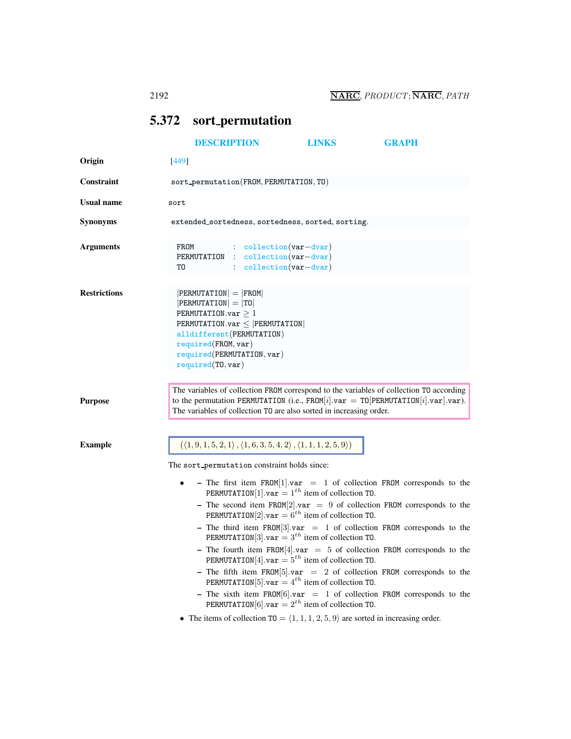# [DESCRIPTION](#page-0-0) [LINKS](#page-2-0) [GRAPH](#page-3-0) Origin [449] Constraint sort permutation(FROM, PERMUTATION, TO) Usual name sort Synonyms extended sortedness, sortedness, sorted, sorting.

<span id="page-0-0"></span>5.372 sort permutation

| Arguments | FROM | $\therefore$ collection (var-dvar)  |
|-----------|------|-------------------------------------|
|           |      | PERMUTATION : collection (var-dvar) |
|           | ፐበ   | $: $ collection $(var-dvar)$        |

| <b>Restrictions</b> | $ PERMUTATION  =  FROM $            |
|---------------------|-------------------------------------|
|                     | $ PERMUTATION  =  TO $              |
|                     | PERMUTATION.var $>1$                |
|                     | PERMUTATION.var $\leq$  PERMUTATION |
|                     | alldifferent (PERMUTATION)          |
|                     | required(FROM, var)                 |
|                     | required(PERMUTATION, var)          |
|                     | required(T0, var)                   |
|                     |                                     |

Purpose

The variables of collection FROM correspond to the variables of collection TO according to the permutation PERMUTATION (i.e., FROM[i].var = TO[PERMUTATION[i].var].var). The variables of collection TO are also sorted in increasing order.

Example  $(1, 9, 1, 5, 2, 1), (1, 6, 3, 5, 4, 2), (1, 1, 1, 2, 5, 9)$ 

The sort permutation constraint holds since:

- The first item FROM[1].var = 1 of collection FROM corresponds to the PERMUTATION[1].var =  $1^{th}$  item of collection TO.
	- The second item FROM[2].var = 9 of collection FROM corresponds to the PERMUTATION[2].var =  $6^{th}$  item of collection TO.
	- The third item FROM[3].var = 1 of collection FROM corresponds to the PERMUTATION[3].var =  $3^{th}$  item of collection TO.
	- The fourth item FROM[4].var = 5 of collection FROM corresponds to the PERMUTATION[4].var =  $5<sup>th</sup>$  item of collection TO.
	- The fifth item FROM[5].var = 2 of collection FROM corresponds to the PERMUTATION [5].  $var = 4^{th}$  item of collection TO.
	- The sixth item FROM[6].var = 1 of collection FROM corresponds to the PERMUTATION  $[6]$ . var =  $2^{th}$  item of collection TO.
- The items of collection  $T0 = \langle 1, 1, 1, 2, 5, 9 \rangle$  are sorted in increasing order.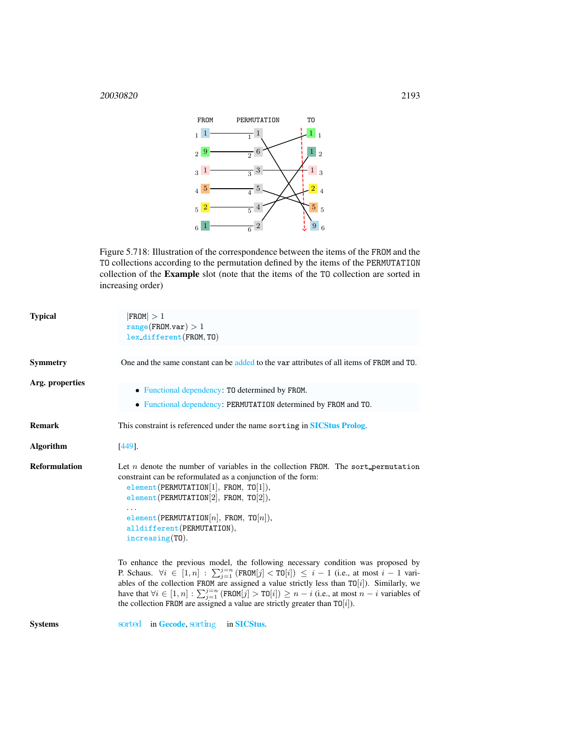

Figure 5.718: Illustration of the correspondence between the items of the FROM and the TO collections according to the permutation defined by the items of the PERMUTATION collection of the Example slot (note that the items of the TO collection are sorted in increasing order)

| <b>Typical</b>       | $ $ FROM $ >1$<br>range(FROM.var) > 1<br>$lex\_different(FROM, TO)$                                                                                                                                                                                                                                                                                                                                                                                                                                             |
|----------------------|-----------------------------------------------------------------------------------------------------------------------------------------------------------------------------------------------------------------------------------------------------------------------------------------------------------------------------------------------------------------------------------------------------------------------------------------------------------------------------------------------------------------|
| <b>Symmetry</b>      | One and the same constant can be added to the var attributes of all items of FROM and TO.                                                                                                                                                                                                                                                                                                                                                                                                                       |
| Arg. properties      | • Functional dependency: TO determined by FROM.<br>• Functional dependency: PERMUTATION determined by FROM and TO.                                                                                                                                                                                                                                                                                                                                                                                              |
| <b>Remark</b>        | This constraint is referenced under the name sorting in SICStus Prolog.                                                                                                                                                                                                                                                                                                                                                                                                                                         |
| <b>Algorithm</b>     | $[449]$ .                                                                                                                                                                                                                                                                                                                                                                                                                                                                                                       |
| <b>Reformulation</b> | Let $n$ denote the number of variables in the collection FROM. The sort permutation<br>constraint can be reformulated as a conjunction of the form:<br>element(PERMUTATION[1], FROM, TO[1]),<br>element(PERMUTATION[2], FROM, TO[2]),<br>element(PERMUTATION[n], FROM, TO[n]),<br>alldifferent (PERMUTATION),<br>$increasing(T0)$ .                                                                                                                                                                             |
|                      | To enhance the previous model, the following necessary condition was proposed by<br>P. Schaus. $\forall i \in [1, n] : \sum_{j=1}^{j=n} (FROM[j] < TO[i]) \leq i-1$ (i.e., at most $i-1$ vari-<br>ables of the collection FROM are assigned a value strictly less than $\text{TO}[i]$ ). Similarly, we<br>have that $\forall i \in [1, n] : \sum_{j=1}^{j=n} (FROM[j] > TO[i]) \geq n - i$ (i.e., at most $n - i$ variables of<br>the collection FROM are assigned a value are strictly greater than $T0[i]$ ). |
| <b>Systems</b>       | sorted in <b>Gecode</b> , sorting<br>in SICStus.                                                                                                                                                                                                                                                                                                                                                                                                                                                                |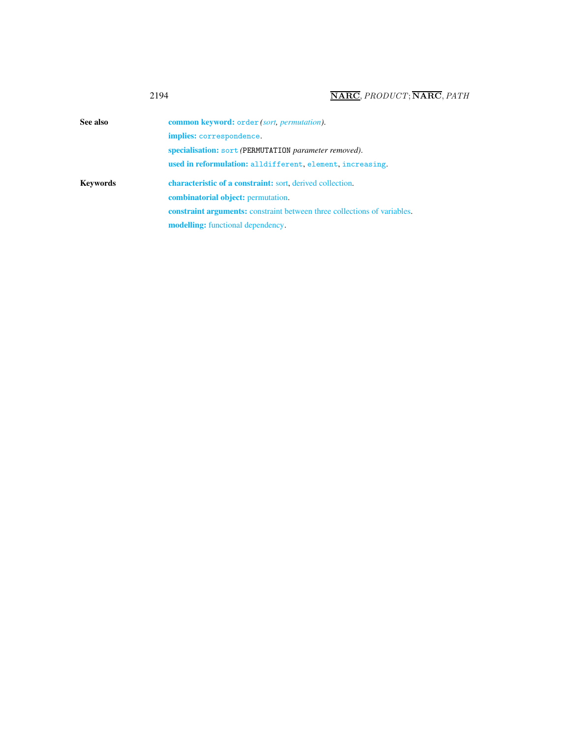<span id="page-2-0"></span>

| See also        | <b>common keyword:</b> order <i>(sort, permutation)</i> .                       |
|-----------------|---------------------------------------------------------------------------------|
|                 | implies: correspondence.                                                        |
|                 | specialisation: sort (PERMUTATION parameter removed).                           |
|                 | used in reformulation: alldifferent, element, increasing.                       |
|                 |                                                                                 |
|                 | <b>characteristic of a constraint:</b> sort, derived collection.                |
|                 | <b>combinatorial object:</b> permutation.                                       |
| <b>Keywords</b> | <b>constraint arguments:</b> constraint between three collections of variables. |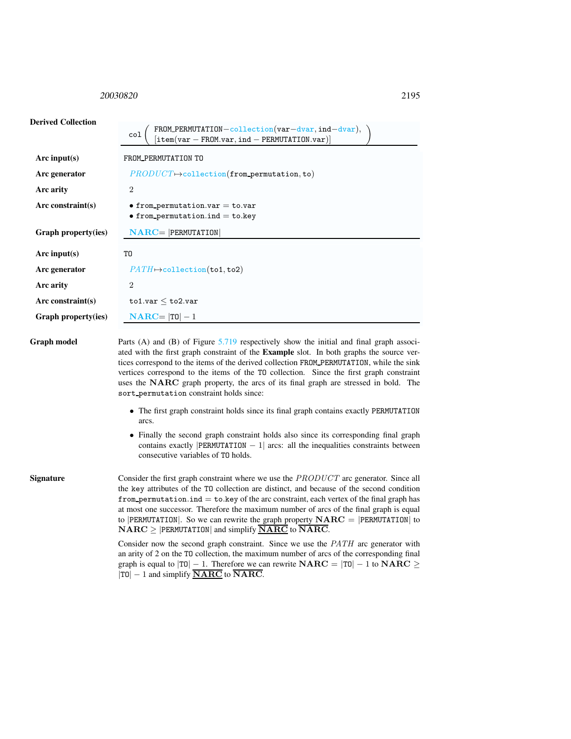### <span id="page-3-0"></span><sup>20030820</sup> 2195

Derived Collection

## col FROM PERMUTATION−collection(var−dvar, ind−dvar), [item(var <sup>−</sup> FROM.var, ind <sup>−</sup> PERMUTATION.var)] Arc input(s) FROM PERMUTATION TO Arc generator  $PRODUT \rightarrow collection(from\_permutation, to)$ Arc arity 2 Arc constraint(s) • from permutation.var = to.var  $\bullet$  from permutation.ind = to.key Graph property(ies) NARC= |PERMUTATION| Arc input(s) TO Arc generator  $PATH \rightarrow$ collection(to1, to2) Arc arity 2 Arc constraint(s) to1.var  $\leq$  to2.var Graph property(ies)  $NARC = |T0| - 1$ Graph model Parts (A) and (B) of Figure [5.719](#page-4-0) respectively show the initial and final graph associated with the first graph constraint of the Example slot. In both graphs the source ver-

tices correspond to the items of the derived collection FROM PERMUTATION, while the sink vertices correspond to the items of the TO collection. Since the first graph constraint uses the NARC graph property, the arcs of its final graph are stressed in bold. The sort permutation constraint holds since:

- The first graph constraint holds since its final graph contains exactly PERMUTATION arcs.
- Finally the second graph constraint holds also since its corresponding final graph contains exactly |PERMUTATION  $-1$ | arcs: all the inequalities constraints between consecutive variables of TO holds.

Signature Consider the first graph constraint where we use the PRODUCT arc generator. Since all the key attributes of the TO collection are distinct, and because of the second condition from permutation.ind  $=$  to.key of the arc constraint, each vertex of the final graph has at most one successor. Therefore the maximum number of arcs of the final graph is equal to |PERMUTATION|. So we can rewrite the graph property  $NARC = |PERMUTATION|$  to  $NARC$  > |PERMUTATION| and simplify  $\overline{NARC}$  to  $\overline{NARC}$ .

> Consider now the second graph constraint. Since we use the PATH arc generator with an arity of 2 on the TO collection, the maximum number of arcs of the corresponding final graph is equal to  $|T0| - 1$ . Therefore we can rewrite  $NARC = |T0| - 1$  to  $NARC \geq$  $|T0| - 1$  and simplify **NARC** to **NARC**.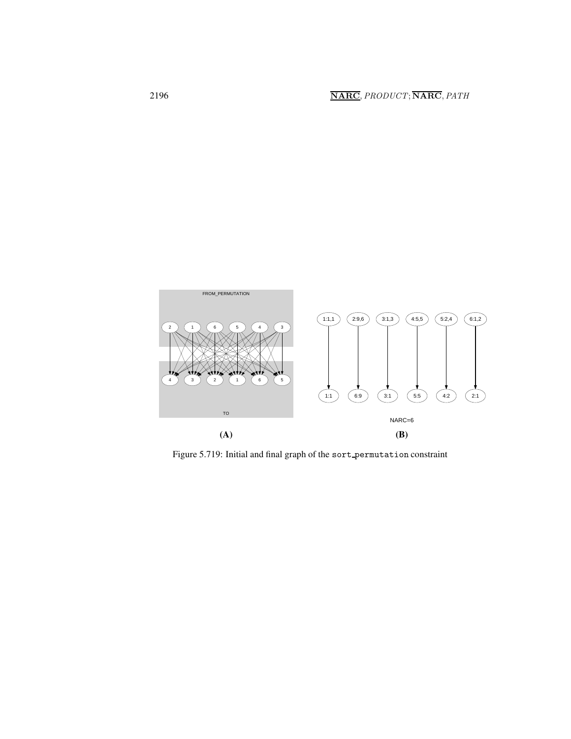

<span id="page-4-0"></span>Figure 5.719: Initial and final graph of the sort\_permutation constraint